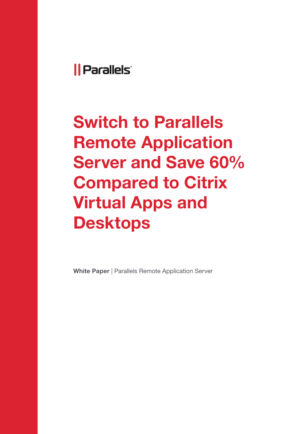## *Il Parallels*

Switch to Parallels Remote Application Server and Save 60% Compared to Citrix Virtual Apps and Desktops

White Paper | Parallels Remote Application Server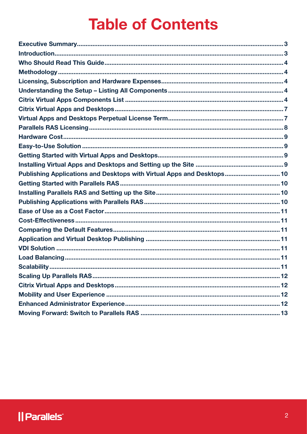# **Table of Contents**

| Publishing Applications and Desktops with Virtual Apps and Desktops 10 |  |
|------------------------------------------------------------------------|--|
|                                                                        |  |
|                                                                        |  |
|                                                                        |  |
|                                                                        |  |
|                                                                        |  |
|                                                                        |  |
|                                                                        |  |
|                                                                        |  |
|                                                                        |  |
|                                                                        |  |
|                                                                        |  |
|                                                                        |  |
|                                                                        |  |
|                                                                        |  |
|                                                                        |  |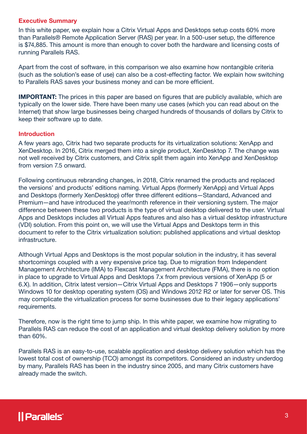#### <span id="page-2-0"></span>Executive Summary

In this white paper, we explain how a Citrix Virtual Apps and Desktops setup costs 60% more than Parallels® Remote Application Server (RAS) per year. In a 500-user setup, the difference is \$74,885. This amount is more than enough to cover both the hardware and licensing costs of running Parallels RAS.

Apart from the cost of software, in this comparison we also examine how nontangible criteria (such as the solution's ease of use) can also be a cost-effecting factor. We explain how switching to Parallels RAS saves your business money and can be more efficient.

IMPORTANT: The prices in this paper are based on figures that are publicly available, which are typically on the lower side. There have been many use cases (which you can read about on the Internet) that show large businesses being charged hundreds of thousands of dollars by Citrix to keep their software up to date.

#### **Introduction**

A few years ago, Citrix had two separate products for its virtualization solutions: XenApp and XenDesktop. In 2016, Citrix merged them into a single product, XenDesktop 7. The change was not well received by Citrix customers, and Citrix split them again into XenApp and XenDesktop from version 7.5 onward.

Following continuous rebranding changes, in 2018, Citrix renamed the products and replaced the versions' and products' editions naming. Virtual Apps (formerly XenApp) and Virtual Apps and Desktops (formerly XenDesktop) offer three different editions—Standard, Advanced and Premium—and have introduced the year/month reference in their versioning system. The major difference between these two products is the type of virtual desktop delivered to the user. Virtual Apps and Desktops includes all Virtual Apps features and also has a virtual desktop infrastructure (VDI) solution. From this point on, we will use the Virtual Apps and Desktops term in this document to refer to the Citrix virtualization solution: published applications and virtual desktop infrastructure.

Although Virtual Apps and Desktops is the most popular solution in the industry, it has several shortcomings coupled with a very expensive price tag. Due to migration from Independent Management Architecture (IMA) to Flexcast Management Architecture (FMA), there is no option in place to upgrade to Virtual Apps and Desktops 7.x from previous versions of XenApp (5 or 6.X). In addition, Citrix latest version—Citrix Virtual Apps and Desktops 7 1906—only supports Windows 10 for desktop operating system (OS) and Windows 2012 R2 or later for server OS. This may complicate the virtualization process for some businesses due to their legacy applications' requirements.

Therefore, now is the right time to jump ship. In this white paper, we examine how migrating to Parallels RAS can reduce the cost of an application and virtual desktop delivery solution by more than 60%.

Parallels RAS is an easy-to-use, scalable application and desktop delivery solution which has the lowest total cost of ownership (TCO) amongst its competitors. Considered an industry underdog by many, Parallels RAS has been in the industry since 2005, and many Citrix customers have already made the switch.

## *Il Parallels*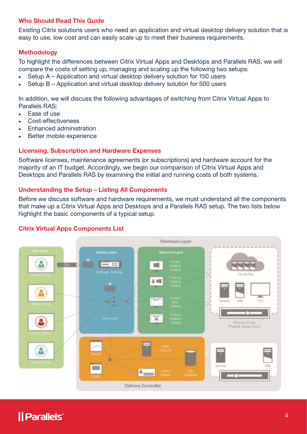#### <span id="page-3-0"></span>Who Should Read This Guide

Existing Citrix solutions users who need an application and virtual desktop delivery solution that is easy to use, low cost and can easily scale up to meet their business requirements.

#### Methodology

To highlight the differences between Citrix Virtual Apps and Desktops and Parallels RAS, we will compare the costs of setting up, managing and scaling up the following two setups:

- Setup A Application and virtual desktop delivery solution for 150 users
- Setup B Application and virtual desktop delivery solution for 500 users

In addition, we will discuss the following advantages of switching from Citrix Virtual Apps to Parallels RAS:

- Ease of use
- Cost-effectiveness
- Enhanced administration
- Better mobile experience

#### Licensing, Subscription and Hardware Expenses

Software licenses, maintenance agreements (or subscriptions) and hardware account for the majority of an IT budget. Accordingly, we begin our comparison of Citrix Virtual Apps and Desktops and Parallels RAS by examining the initial and running costs of both systems.

#### Understanding the Setup – Listing All Components

Before we discuss software and hardware requirements, we must understand all the components that make up a Citrix Virtual Apps and Desktops and a Parallels RAS setup. The two lists below highlight the basic components of a typical setup.





## *Il Parallels*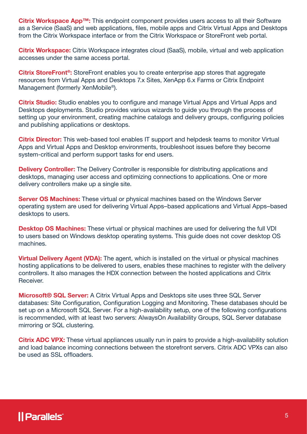Citrix Workspace App<sup>™</sup>: This endpoint component provides users access to all their Software as a Service (SaaS) and web applications, files, mobile apps and Citrix Virtual Apps and Desktops from the Citrix Workspace interface or from the Citrix Workspace or StoreFront web portal.

**Citrix Workspace:** Citrix Workspace integrates cloud (SaaS), mobile, virtual and web application accesses under the same access portal.

Citrix StoreFront<sup>®</sup>: StoreFront enables you to create enterprise app stores that aggregate resources from Virtual Apps and Desktops 7.x Sites, XenApp 6.x Farms or Citrix Endpoint Management (formerly XenMobile®).

**Citrix Studio:** Studio enables you to configure and manage Virtual Apps and Virtual Apps and Desktops deployments. Studio provides various wizards to guide you through the process of setting up your environment, creating machine catalogs and delivery groups, configuring policies and publishing applications or desktops.

**Citrix Director:** This web-based tool enables IT support and helpdesk teams to monitor Virtual Apps and Virtual Apps and Desktop environments, troubleshoot issues before they become system-critical and perform support tasks for end users.

**Delivery Controller:** The Delivery Controller is responsible for distributing applications and desktops, managing user access and optimizing connections to applications. One or more delivery controllers make up a single site.

Server OS Machines: These virtual or physical machines based on the Windows Server operating system are used for delivering Virtual Apps–based applications and Virtual Apps–based desktops to users.

**Desktop OS Machines:** These virtual or physical machines are used for delivering the full VDI to users based on Windows desktop operating systems. This guide does not cover desktop OS machines.

**Virtual Delivery Agent (VDA):** The agent, which is installed on the virtual or physical machines hosting applications to be delivered to users, enables these machines to register with the delivery controllers. It also manages the HDX connection between the hosted applications and Citrix Receiver.

Microsoft<sup>®</sup> SQL Server: A Citrix Virtual Apps and Desktops site uses three SQL Server databases: Site Configuration, Configuration Logging and Monitoring. These databases should be set up on a Microsoft SQL Server. For a high-availability setup, one of the following configurations is recommended, with at least two servers: AlwaysOn Availability Groups, SQL Server database mirroring or SQL clustering.

**Citrix ADC VPX:** These virtual appliances usually run in pairs to provide a high-availability solution and load balance incoming connections between the storefront servers. Citrix ADC VPXs can also be used as SSL offloaders.

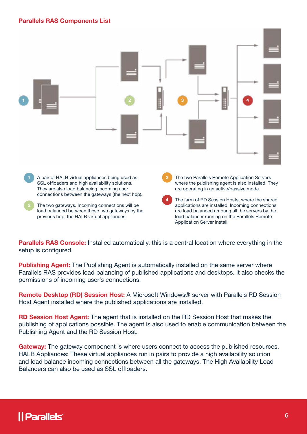#### Parallels RAS Components List



previous hop, the HALB virtual appliances.

load balancer running on the Parallels Remote Application Server install.

**Parallels RAS Console:** Installed automatically, this is a central location where everything in the setup is configured.

**Publishing Agent:** The Publishing Agent is automatically installed on the same server where Parallels RAS provides load balancing of published applications and desktops. It also checks the permissions of incoming user's connections.

Remote Desktop (RD) Session Host: A Microsoft Windows® server with Parallels RD Session Host Agent installed where the published applications are installed.

RD Session Host Agent: The agent that is installed on the RD Session Host that makes the publishing of applications possible. The agent is also used to enable communication between the Publishing Agent and the RD Session Host.

Gateway: The gateway component is where users connect to access the published resources. HALB Appliances: These virtual appliances run in pairs to provide a high availability solution and load balance incoming connections between all the gateways. The High Availability Load Balancers can also be used as SSL offloaders.

## *Il Parallels*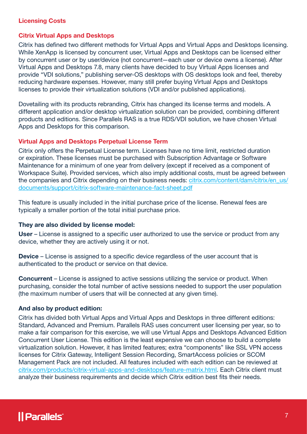#### <span id="page-6-0"></span>Licensing Costs

#### Citrix Virtual Apps and Desktops

Citrix has defined two different methods for Virtual Apps and Virtual Apps and Desktops licensing. While XenApp is licensed by concurrent user, Virtual Apps and Desktops can be licensed either by concurrent user or by user/device (not concurrent—each user or device owns a license). After Virtual Apps and Desktops 7.8, many clients have decided to buy Virtual Apps licenses and provide "VDI solutions," publishing server-OS desktops with OS desktops look and feel, thereby reducing hardware expenses. However, many still prefer buying Virtual Apps and Desktops licenses to provide their virtualization solutions (VDI and/or published applications).

Dovetailing with its products rebranding, Citrix has changed its license terms and models. A different application and/or desktop virtualization solution can be provided, combining different products and editions. Since Parallels RAS is a true RDS/VDI solution, we have chosen Virtual Apps and Desktops for this comparison.

#### Virtual Apps and Desktops Perpetual License Term

Citrix only offers the Perpetual License term. Licenses have no time limit, restricted duration or expiration. These licenses must be purchased with Subscription Advantage or Software Maintenance for a minimum of one year from delivery (except if received as a component of Workspace Suite). Provided services, which also imply additional costs, must be agreed between the companies and Citrix depending on their business needs: [citrix.com/content/dam/citrix/en\\_us/](http://citrix.com/content/dam/citrix/en_us/documents/support/citrix-software-maintenance-fact-sheet.pdf) [documents/support/citrix-software-maintenance-fact-sheet.pdf](http://citrix.com/content/dam/citrix/en_us/documents/support/citrix-software-maintenance-fact-sheet.pdf)

This feature is usually included in the initial purchase price of the license. Renewal fees are typically a smaller portion of the total initial purchase price.

#### They are also divided by license model:

User – License is assigned to a specific user authorized to use the service or product from any device, whether they are actively using it or not.

Device – License is assigned to a specific device regardless of the user account that is authenticated to the product or service on that device.

Concurrent – License is assigned to active sessions utilizing the service or product. When purchasing, consider the total number of active sessions needed to support the user population (the maximum number of users that will be connected at any given time).

#### And also by product edition:

Citrix has divided both Virtual Apps and Virtual Apps and Desktops in three different editions: Standard, Advanced and Premium. Parallels RAS uses concurrent user licensing per year, so to make a fair comparison for this exercise, we will use Virtual Apps and Desktops Advanced Edition Concurrent User License. This edition is the least expensive we can choose to build a complete virtualization solution. However, it has limited features; extra "components" like SSL VPN access licenses for Citrix Gateway, Intelligent Session Recording, SmartAccess policies or SCOM Management Pack are not included. All features included with each edition can be reviewed at [citrix.com/products/citrix-virtual-apps-and-desktops/feature-matrix.html](http://citrix.com/products/citrix-virtual-apps-and-desktops/feature-matrix.html). Each Citrix client must analyze their business requirements and decide which Citrix edition best fits their needs.

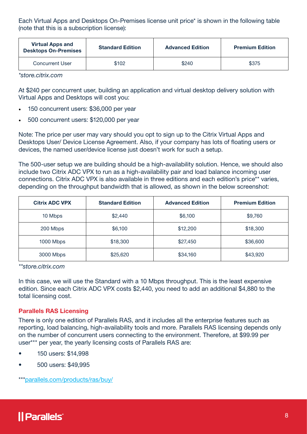<span id="page-7-0"></span>Each Virtual Apps and Desktops On-Premises license unit price\* is shown in the following table (note that this is a subscription license):

| <b>Virtual Apps and</b><br><b>Desktops On-Premises</b> | <b>Standard Edition</b> | <b>Advanced Edition</b> | <b>Premium Edition</b> |
|--------------------------------------------------------|-------------------------|-------------------------|------------------------|
| <b>Concurrent User</b>                                 | \$102                   | \$240                   | \$375                  |

*\*store.citrix.com*

At \$240 per concurrent user, building an application and virtual desktop delivery solution with Virtual Apps and Desktops will cost you:

- 150 concurrent users: \$36,000 per year
- 500 concurrent users: \$120,000 per year

Note: The price per user may vary should you opt to sign up to the Citrix Virtual Apps and Desktops User/ Device License Agreement. Also, if your company has lots of floating users or devices, the named user/device license just doesn't work for such a setup.

The 500-user setup we are building should be a high-availability solution. Hence, we should also include two Citrix ADC VPX to run as a high-availability pair and load balance incoming user connections. Citrix ADC VPX is also available in three editions and each edition's price\*\* varies, depending on the throughput bandwidth that is allowed, as shown in the below screenshot:

| <b>Citrix ADC VPX</b> | <b>Standard Edition</b> | <b>Advanced Edition</b> | <b>Premium Edition</b> |
|-----------------------|-------------------------|-------------------------|------------------------|
| 10 Mbps               | \$2,440                 | \$6,100                 | \$9,760                |
| 200 Mbps              | \$6,100                 | \$12,200                | \$18,300               |
| 1000 Mbps             | \$18,300                | \$27,450                | \$36,600               |
| 3000 Mbps             | \$25,620                | \$34,160                | \$43,920               |

*\*\*store.citrix.com*

In this case, we will use the Standard with a 10 Mbps throughput. This is the least expensive edition. Since each Citrix ADC VPX costs \$2,440, you need to add an additional \$4,880 to the total licensing cost.

#### Parallels RAS Licensing

There is only one edition of Parallels RAS, and it includes all the enterprise features such as reporting, load balancing, high-availability tools and more. Parallels RAS licensing depends only on the number of concurrent users connecting to the environment. Therefore, at \$99.99 per user\*\*\* per year, the yearly licensing costs of Parallels RAS are:

- 150 users: \$14,998
- 500 users: \$49,995

\*\*\*[parallels.com/products/ras/buy/](http://parallels.com/products/ras/buy/)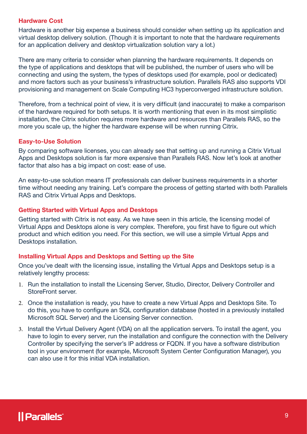#### <span id="page-8-0"></span>Hardware Cost

Hardware is another big expense a business should consider when setting up its application and virtual desktop delivery solution. (Though it is important to note that the hardware requirements for an application delivery and desktop virtualization solution vary a lot.)

There are many criteria to consider when planning the hardware requirements. It depends on the type of applications and desktops that will be published, the number of users who will be connecting and using the system, the types of desktops used (for example, pool or dedicated) and more factors such as your business's infrastructure solution. Parallels RAS also supports VDI provisioning and management on Scale Computing HC3 hyperconverged infrastructure solution.

Therefore, from a technical point of view, it is very difficult (and inaccurate) to make a comparison of the hardware required for both setups. It is worth mentioning that even in its most simplistic installation, the Citrix solution requires more hardware and resources than Parallels RAS, so the more you scale up, the higher the hardware expense will be when running Citrix.

#### Easy-to-Use Solution

By comparing software licenses, you can already see that setting up and running a Citrix Virtual Apps and Desktops solution is far more expensive than Parallels RAS. Now let's look at another factor that also has a big impact on cost: ease of use.

An easy-to-use solution means IT professionals can deliver business requirements in a shorter time without needing any training. Let's compare the process of getting started with both Parallels RAS and Citrix Virtual Apps and Desktops.

#### Getting Started with Virtual Apps and Desktops

Getting started with Citrix is not easy. As we have seen in this article, the licensing model of Virtual Apps and Desktops alone is very complex. Therefore, you first have to figure out which product and which edition you need. For this section, we will use a simple Virtual Apps and Desktops installation.

#### Installing Virtual Apps and Desktops and Setting up the Site

Once you've dealt with the licensing issue, installing the Virtual Apps and Desktops setup is a relatively lengthy process:

- 1. Run the installation to install the Licensing Server, Studio, Director, Delivery Controller and StoreFront server.
- 2. Once the installation is ready, you have to create a new Virtual Apps and Desktops Site. To do this, you have to configure an SQL configuration database (hosted in a previously installed Microsoft SQL Server) and the Licensing Server connection.
- 3. Install the Virtual Delivery Agent (VDA) on all the application servers. To install the agent, you have to login to every server, run the installation and configure the connection with the Delivery Controller by specifying the server's IP address or FQDN. If you have a software distribution tool in your environment (for example, Microsoft System Center Configuration Manager), you can also use it for this initial VDA installation.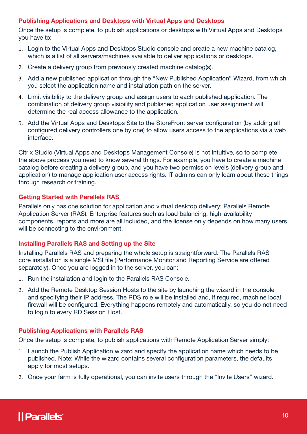#### <span id="page-9-0"></span>Publishing Applications and Desktops with Virtual Apps and Desktops

Once the setup is complete, to publish applications or desktops with Virtual Apps and Desktops you have to:

- 1. Login to the Virtual Apps and Desktops Studio console and create a new machine catalog, which is a list of all servers/machines available to deliver applications or desktops.
- 2. Create a delivery group from previously created machine catalog(s).
- 3. Add a new published application through the "New Published Application" Wizard, from which you select the application name and installation path on the server.
- 4. Limit visibility to the delivery group and assign users to each published application. The combination of delivery group visibility and published application user assignment will determine the real access allowance to the application.
- 5. Add the Virtual Apps and Desktops Site to the StoreFront server configuration (by adding all configured delivery controllers one by one) to allow users access to the applications via a web interface.

Citrix Studio (Virtual Apps and Desktops Management Console) is not intuitive, so to complete the above process you need to know several things. For example, you have to create a machine catalog before creating a delivery group, and you have two permission levels (delivery group and application) to manage application user access rights. IT admins can only learn about these things through research or training.

#### Getting Started with Parallels RAS

Parallels only has one solution for application and virtual desktop delivery: Parallels Remote Application Server (RAS). Enterprise features such as load balancing, high-availability components, reports and more are all included, and the license only depends on how many users will be connecting to the environment.

#### Installing Parallels RAS and Setting up the Site

Installing Parallels RAS and preparing the whole setup is straightforward. The Parallels RAS core installation is a single MSI file (Performance Monitor and Reporting Service are offered separately). Once you are logged in to the server, you can:

- 1. Run the installation and login to the Parallels RAS Console.
- 2. Add the Remote Desktop Session Hosts to the site by launching the wizard in the console and specifying their IP address. The RDS role will be installed and, if required, machine local firewall will be configured. Everything happens remotely and automatically, so you do not need to login to every RD Session Host.

#### Publishing Applications with Parallels RAS

Once the setup is complete, to publish applications with Remote Application Server simply:

- 1. Launch the Publish Application wizard and specify the application name which needs to be published. Note: While the wizard contains several configuration parameters, the defaults apply for most setups.
- 2. Once your farm is fully operational, you can invite users through the "Invite Users" wizard.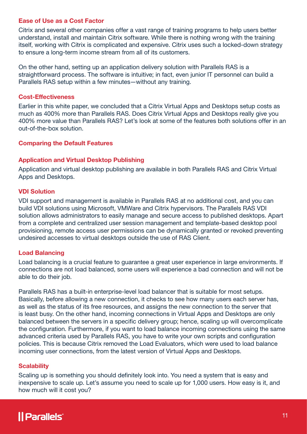#### <span id="page-10-0"></span>Ease of Use as a Cost Factor

Citrix and several other companies offer a vast range of training programs to help users better understand, install and maintain Citrix software. While there is nothing wrong with the training itself, working with Citrix is complicated and expensive. Citrix uses such a locked-down strategy to ensure a long-term income stream from all of its customers.

On the other hand, setting up an application delivery solution with Parallels RAS is a straightforward process. The software is intuitive; in fact, even junior IT personnel can build a Parallels RAS setup within a few minutes—without any training.

#### Cost-Effectiveness

Earlier in this white paper, we concluded that a Citrix Virtual Apps and Desktops setup costs as much as 400% more than Parallels RAS. Does Citrix Virtual Apps and Desktops really give you 400% more value than Parallels RAS? Let's look at some of the features both solutions offer in an out-of-the-box solution.

#### Comparing the Default Features

#### Application and Virtual Desktop Publishing

Application and virtual desktop publishing are available in both Parallels RAS and Citrix Virtual Apps and Desktops.

#### VDI Solution

VDI support and management is available in Parallels RAS at no additional cost, and you can build VDI solutions using Microsoft, VMWare and Citrix hypervisors. The Parallels RAS VDI solution allows administrators to easily manage and secure access to published desktops. Apart from a complete and centralized user session management and template-based desktop pool provisioning, remote access user permissions can be dynamically granted or revoked preventing undesired accesses to virtual desktops outside the use of RAS Client.

#### Load Balancing

Load balancing is a crucial feature to guarantee a great user experience in large environments. If connections are not load balanced, some users will experience a bad connection and will not be able to do their job.

Parallels RAS has a built-in enterprise-level load balancer that is suitable for most setups. Basically, before allowing a new connection, it checks to see how many users each server has, as well as the status of its free resources, and assigns the new connection to the server that is least busy. On the other hand, incoming connections in Virtual Apps and Desktops are only balanced between the servers in a specific delivery group; hence, scaling up will overcomplicate the configuration. Furthermore, if you want to load balance incoming connections using the same advanced criteria used by Parallels RAS, you have to write your own scripts and configuration policies. This is because Citrix removed the Load Evaluators, which were used to load balance incoming user connections, from the latest version of Virtual Apps and Desktops.

#### **Scalability**

Scaling up is something you should definitely look into. You need a system that is easy and inexpensive to scale up. Let's assume you need to scale up for 1,000 users. How easy is it, and how much will it cost you?

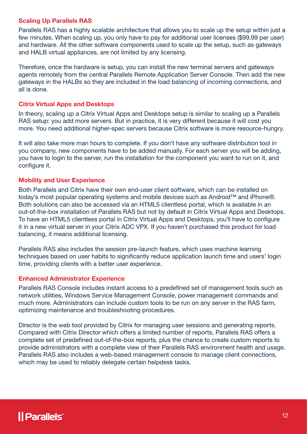#### <span id="page-11-0"></span>Scaling Up Parallels RAS

Parallels RAS has a highly scalable architecture that allows you to scale up the setup within just a few minutes. When scaling up, you only have to pay for additional user licenses (\$99.99 per user) and hardware. All the other software components used to scale up the setup, such as gateways and HALB virtual appliances, are not limited by any licensing.

Therefore, once the hardware is setup, you can install the new terminal servers and gateways agents remotely from the central Parallels Remote Application Server Console. Then add the new gateways in the HALBs so they are included in the load balancing of incoming connections, and all is done.

#### Citrix Virtual Apps and Desktops

In theory, scaling up a Citrix Virtual Apps and Desktops setup is similar to scaling up a Parallels RAS setup: you add more servers. But in practice, it is very different because it will cost you more. You need additional higher-spec servers because Citrix software is more resource-hungry.

It will also take more man hours to complete. If you don't have any software distribution tool in you company, new components have to be added manually. For each server you will be adding, you have to login to the server, run the installation for the component you want to run on it, and configure it.

#### Mobility and User Experience

Both Parallels and Citrix have their own end-user client software, which can be installed on today's most popular operating systems and mobile devices such as Android™ and iPhone®. Both solutions can also be accessed via an HTML5 clientless portal, which is available in an out-of-the-box installation of Parallels RAS but not by default in Citrix Virtual Apps and Desktops. To have an HTML5 clientless portal in Citrix Virtual Apps and Desktops, you'll have to configure it in a new virtual server in your Citrix ADC VPX. If you haven't purchased this product for load balancing, it means additional licensing.

Parallels RAS also includes the session pre-launch feature, which uses machine learning techniques based on user habits to significantly reduce application launch time and users' login time, providing clients with a better user experience.

#### Enhanced Administrator Experience

Parallels RAS Console includes instant access to a predefined set of management tools such as network utilities, Windows Service Management Console, power management commands and much more. Administrators can include custom tools to be run on any server in the RAS farm, optimizing maintenance and troubleshooting procedures.

Director is the web tool provided by Citrix for managing user sessions and generating reports. Compared with Citrix Director which offers a limited number of reports, Parallels RAS offers a complete set of predefined out-of-the-box reports, plus the chance to create custom reports to provide administrators with a complete view of their Parallels RAS environment health and usage. Parallels RAS also includes a web-based management console to manage client connections, which may be used to reliably delegate certain helpdesk tasks.